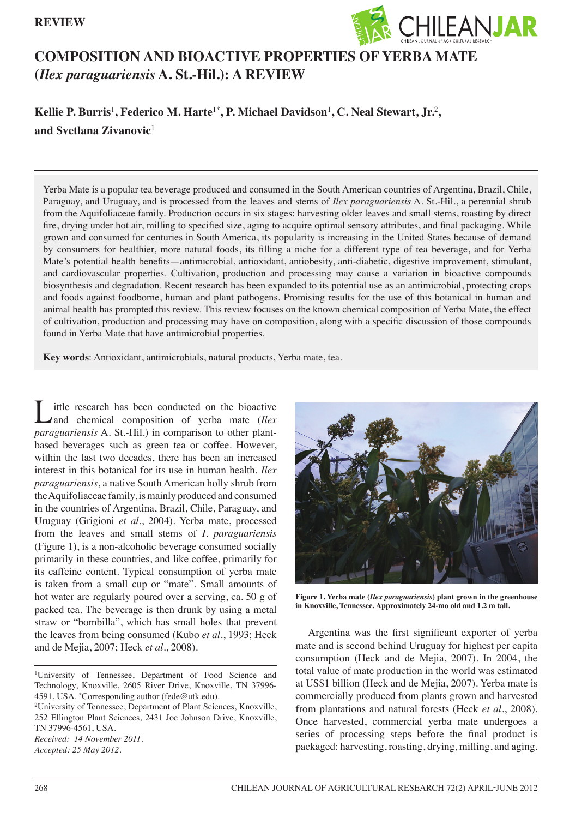

# **COMPOSITION AND BIOACTIVE PROPERTIES OF YERBA MATE (***Ilex paraguariensis* **A. St.-Hil.): A REVIEW**

## **Kellie P. Burris**<sup>1</sup> **, Federico M. Harte**1\***, P. Michael Davidson**<sup>1</sup> **, C. Neal Stewart, Jr.**<sup>2</sup> **, and Svetlana Zivanovic**<sup>1</sup>

Yerba Mate is a popular tea beverage produced and consumed in the South American countries of Argentina, Brazil, Chile, Paraguay, and Uruguay, and is processed from the leaves and stems of *Ilex paraguariensis* A. St.-Hil., a perennial shrub from the Aquifoliaceae family. Production occurs in six stages: harvesting older leaves and small stems, roasting by direct fire, drying under hot air, milling to specified size, aging to acquire optimal sensory attributes, and final packaging. While grown and consumed for centuries in South America, its popularity is increasing in the United States because of demand by consumers for healthier, more natural foods, its filling a niche for a different type of tea beverage, and for Yerba Mate's potential health benefits—antimicrobial, antioxidant, antiobesity, anti-diabetic, digestive improvement, stimulant, and cardiovascular properties. Cultivation, production and processing may cause a variation in bioactive compounds biosynthesis and degradation. Recent research has been expanded to its potential use as an antimicrobial, protecting crops and foods against foodborne, human and plant pathogens. Promising results for the use of this botanical in human and animal health has prompted this review. This review focuses on the known chemical composition of Yerba Mate, the effect of cultivation, production and processing may have on composition, along with a specific discussion of those compounds found in Yerba Mate that have antimicrobial properties.

**Key words**: Antioxidant, antimicrobials, natural products, Yerba mate, tea.

ittle research has been conducted on the bioactive and chemical composition of yerba mate (*Ilex paraguariensis* A. St.-Hil.) in comparison to other plantbased beverages such as green tea or coffee. However, within the last two decades, there has been an increased interest in this botanical for its use in human health. *Ilex paraguariensis*, a native South American holly shrub from the Aquifoliaceae family, is mainly produced and consumed in the countries of Argentina, Brazil, Chile, Paraguay, and Uruguay (Grigioni *et al.*, 2004). Yerba mate, processed from the leaves and small stems of *I. paraguariensis*  (Figure 1), is a non-alcoholic beverage consumed socially primarily in these countries, and like coffee, primarily for its caffeine content. Typical consumption of yerba mate is taken from a small cup or "mate". Small amounts of hot water are regularly poured over a serving, ca. 50 g of packed tea. The beverage is then drunk by using a metal straw or "bombilla", which has small holes that prevent the leaves from being consumed (Kubo *et al.*, 1993; Heck and de Mejia, 2007; Heck *et al.*, 2008).

*Accepted: 25 May 2012.*



**Figure 1. Yerba mate (***Ilex paraguariensis***) plant grown in the greenhouse in Knoxville, Tennessee. Approximately 24-mo old and 1.2 m tall.**

Argentina was the first significant exporter of yerba mate and is second behind Uruguay for highest per capita consumption (Heck and de Mejia, 2007). In 2004, the total value of mate production in the world was estimated at US\$1 billion (Heck and de Mejia, 2007). Yerba mate is commercially produced from plants grown and harvested from plantations and natural forests (Heck *et al.*, 2008). Once harvested, commercial yerba mate undergoes a series of processing steps before the final product is packaged: harvesting, roasting, drying, milling, and aging.

<sup>1</sup> University of Tennessee, Department of Food Science and Technology, Knoxville, 2605 River Drive, Knoxville, TN 37996- 4591, USA. \* Corresponding author (fede@utk.edu).

<sup>2</sup> University of Tennessee, Department of Plant Sciences, Knoxville, 252 Ellington Plant Sciences, 2431 Joe Johnson Drive, Knoxville, TN 37996-4561, USA. *Received: 14 November 2011.*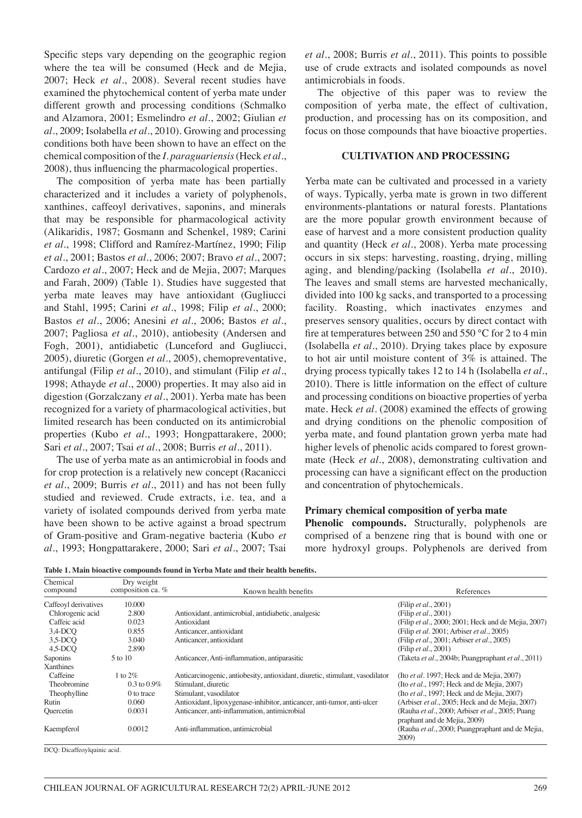Specific steps vary depending on the geographic region where the tea will be consumed (Heck and de Mejia, 2007; Heck *et al*., 2008). Several recent studies have examined the phytochemical content of yerba mate under different growth and processing conditions (Schmalko and Alzamora, 2001; Esmelindro *et al.*, 2002; Giulian *et al.*, 2009; Isolabella *et al.*, 2010). Growing and processing conditions both have been shown to have an effect on the chemical composition of the *I. paraguariensis* (Heck *et al.*, 2008), thus influencing the pharmacological properties.

The composition of yerba mate has been partially characterized and it includes a variety of polyphenols, xanthines, caffeoyl derivatives, saponins, and minerals that may be responsible for pharmacological activity (Alikaridis, 1987; Gosmann and Schenkel, 1989; Carini *et al*., 1998; Clifford and Ramírez-Martínez, 1990; Filip *et al*., 2001; Bastos *et al.*, 2006; 2007; Bravo *et al.*, 2007; Cardozo *et al.*, 2007; Heck and de Mejia, 2007; Marques and Farah, 2009) (Table 1). Studies have suggested that yerba mate leaves may have antioxidant (Gugliucci and Stahl, 1995; Carini *et al.*, 1998; Filip *et al*., 2000; Bastos *et al.*, 2006; Anesini *et al*., 2006; Bastos *et al.*, 2007; Pagliosa *et al*., 2010), antiobesity (Andersen and Fogh, 2001), antidiabetic (Lunceford and Gugliucci, 2005), diuretic (Gorgen *et al.*, 2005), chemopreventative, antifungal (Filip *et al.*, 2010), and stimulant (Filip *et al.*, 1998; Athayde *et al*., 2000) properties. It may also aid in digestion (Gorzalczany *et al*., 2001). Yerba mate has been recognized for a variety of pharmacological activities, but limited research has been conducted on its antimicrobial properties (Kubo *et al.*, 1993; Hongpattarakere, 2000; Sari *et al.*, 2007; Tsai *et al.*, 2008; Burris *et al*., 2011).

The use of yerba mate as an antimicrobial in foods and for crop protection is a relatively new concept (Racanicci *et al.*, 2009; Burris *et al.*, 2011) and has not been fully studied and reviewed. Crude extracts, i.e. tea, and a variety of isolated compounds derived from yerba mate have been shown to be active against a broad spectrum of Gram-positive and Gram-negative bacteria (Kubo *et al.*, 1993; Hongpattarakere, 2000; Sari *et al.*, 2007; Tsai *et al.*, 2008; Burris *et al.*, 2011). This points to possible use of crude extracts and isolated compounds as novel antimicrobials in foods.

The objective of this paper was to review the composition of yerba mate, the effect of cultivation, production, and processing has on its composition, and focus on those compounds that have bioactive properties.

### **CULTIVATION AND PROCESSING**

Yerba mate can be cultivated and processed in a variety of ways. Typically, yerba mate is grown in two different environments-plantations or natural forests. Plantations are the more popular growth environment because of ease of harvest and a more consistent production quality and quantity (Heck *et al.*, 2008). Yerba mate processing occurs in six steps: harvesting, roasting, drying, milling aging, and blending/packing (Isolabella *et al*., 2010). The leaves and small stems are harvested mechanically, divided into 100 kg sacks, and transported to a processing facility. Roasting, which inactivates enzymes and preserves sensory qualities, occurs by direct contact with fire at temperatures between 250 and 550 °C for 2 to 4 min (Isolabella *et al*., 2010). Drying takes place by exposure to hot air until moisture content of 3% is attained. The drying process typically takes 12 to 14 h (Isolabella *et al*., 2010). There is little information on the effect of culture and processing conditions on bioactive properties of yerba mate. Heck *et al*. (2008) examined the effects of growing and drying conditions on the phenolic composition of yerba mate, and found plantation grown yerba mate had higher levels of phenolic acids compared to forest grownmate (Heck *et al.*, 2008), demonstrating cultivation and processing can have a significant effect on the production and concentration of phytochemicals.

#### **Primary chemical composition of yerba mate**

**Phenolic compounds.** Structurally, polyphenols are comprised of a benzene ring that is bound with one or more hydroxyl groups. Polyphenols are derived from

**Table 1. Main bioactive compounds found in Yerba Mate and their health benefits.**

| Chemical<br>compound | Dry weight<br>composition ca. % | Known health benefits                                                        | References                                                                                |
|----------------------|---------------------------------|------------------------------------------------------------------------------|-------------------------------------------------------------------------------------------|
| Caffeoyl derivatives | 10.000                          |                                                                              | (Filip et al., 2001)                                                                      |
| Chlorogenic acid     | 2.800                           | Antioxidant, antimicrobial, antidiabetic, analgesic                          | (Filip et al., 2001)                                                                      |
| Caffeic acid         | 0.023                           | Antioxidant                                                                  | (Filip et al., 2000; 2001; Heck and de Mejia, 2007)                                       |
| $3,4$ -DCO           | 0.855                           | Anticancer, antioxidant                                                      | (Filip et al. 2001; Arbiser et al., 2005)                                                 |
| $3.5-DCO$            | 3.040                           | Anticancer, antioxidant                                                      | (Filip et al., 2001; Arbiser et al., 2005)                                                |
| $4.5-DCO$            | 2.890                           |                                                                              | (Filip et al., 2001)                                                                      |
| Saponins             | 5 to 10                         | Anticancer, Anti-inflammation, antiparasitic                                 | (Taketa et al., 2004b; Puangpraphant et al., 2011)                                        |
| Xanthines            |                                 |                                                                              |                                                                                           |
| Caffeine             | 1 to $2\%$                      | Anticarcinogenic, antiobesity, antioxidant, diuretic, stimulant, vasodilator | (Ito et al. 1997; Heck and de Mejia, 2007)                                                |
| Theobromine          | 0.3 to $0.9\%$                  | Stimulant, diuretic                                                          | (Ito et al., 1997; Heck and de Mejia, 2007)                                               |
| Theophylline         | 0 to trace                      | Stimulant, vasodilator                                                       | (Ito et al., 1997; Heck and de Mejia, 2007)                                               |
| Rutin                | 0.060                           | Antioxidant, lipoxygenase-inhibitor, anticancer, anti-tumor, anti-ulcer      | (Arbiser et al., 2005; Heck and de Mejia, 2007)                                           |
| Quercetin            | 0.0031                          | Anticancer, anti-inflammation, antimicrobial                                 | (Rauha et al., 2000; Arbiser et al., 2005; Puang                                          |
| Kaempferol           | 0.0012                          | Anti-inflammation, antimicrobial                                             | praphant and de Mejia, 2009)<br>(Rauha et al., 2000; Puangpraphant and de Mejia,<br>2009) |

DCQ: Dicaffeoylquinic acid.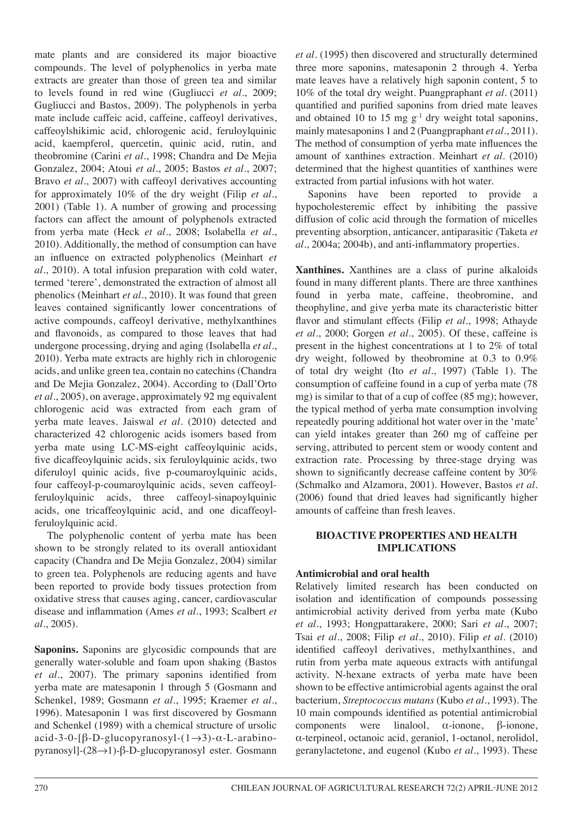mate plants and are considered its major bioactive compounds. The level of polyphenolics in yerba mate extracts are greater than those of green tea and similar to levels found in red wine (Gugliucci *et al.*, 2009; Gugliucci and Bastos, 2009). The polyphenols in yerba mate include caffeic acid, caffeine, caffeoyl derivatives, caffeoylshikimic acid, chlorogenic acid, feruloylquinic acid, kaempferol, quercetin, quinic acid, rutin, and theobromine (Carini *et al.*, 1998; Chandra and De Mejia Gonzalez, 2004; Atoui *et al.*, 2005; Bastos *et al.*, 2007; Bravo *et al.*, 2007) with caffeoyl derivatives accounting for approximately 10% of the dry weight (Filip *et al.*, 2001) (Table 1). A number of growing and processing factors can affect the amount of polyphenols extracted from yerba mate (Heck *et al.*, 2008; Isolabella *et al.*, 2010). Additionally, the method of consumption can have an influence on extracted polyphenolics (Meinhart *et al.*, 2010). A total infusion preparation with cold water, termed 'terere', demonstrated the extraction of almost all phenolics (Meinhart *et al.*, 2010). It was found that green leaves contained significantly lower concentrations of active compounds, caffeoyl derivative, methylxanthines and flavonoids, as compared to those leaves that had undergone processing, drying and aging (Isolabella *et al.*, 2010). Yerba mate extracts are highly rich in chlorogenic acids, and unlike green tea, contain no catechins (Chandra and De Mejia Gonzalez, 2004). According to (Dall'Orto *et al.*, 2005), on average, approximately 92 mg equivalent chlorogenic acid was extracted from each gram of yerba mate leaves. Jaiswal *et al.* (2010) detected and characterized 42 chlorogenic acids isomers based from yerba mate using LC-MS-eight caffeoylquinic acids, five dicaffeoylquinic acids, six feruloylquinic acids, two diferuloyl quinic acids, five p-coumaroylquinic acids, four caffeoyl-p-coumaroylquinic acids, seven caffeoylferuloylquinic acids, three caffeoyl-sinapoylquinic acids, one tricaffeoylquinic acid, and one dicaffeoylferuloylquinic acid.

The polyphenolic content of yerba mate has been shown to be strongly related to its overall antioxidant capacity (Chandra and De Mejia Gonzalez, 2004) similar to green tea. Polyphenols are reducing agents and have been reported to provide body tissues protection from oxidative stress that causes aging, cancer, cardiovascular disease and inflammation (Ames *et al.*, 1993; Scalbert *et al.*, 2005).

**Saponins.** Saponins are glycosidic compounds that are generally water-soluble and foam upon shaking (Bastos *et al.*, 2007). The primary saponins identified from yerba mate are matesaponin 1 through 5 (Gosmann and Schenkel, 1989; Gosmann *et al.*, 1995; Kraemer *et al.*, 1996). Matesaponin 1 was first discovered by Gosmann and Schenkel (1989) with a chemical structure of ursolic acid-3-0-[β-D-glucopyranosyl-(1→3)-α-L-arabinopyranosyl]-(28→1)-β-D-glucopyranosyl ester. Gosmann

*et al*. (1995) then discovered and structurally determined three more saponins, matesaponin 2 through 4. Yerba mate leaves have a relatively high saponin content, 5 to 10% of the total dry weight. Puangpraphant *et al.* (2011) quantified and purified saponins from dried mate leaves and obtained 10 to 15 mg  $g^{-1}$  dry weight total saponins, mainly matesaponins 1 and 2 (Puangpraphant *et al.*, 2011). The method of consumption of yerba mate influences the amount of xanthines extraction. Meinhart *et al*. (2010) determined that the highest quantities of xanthines were extracted from partial infusions with hot water.

Saponins have been reported to provide a hypocholesteremic effect by inhibiting the passive diffusion of colic acid through the formation of micelles preventing absorption, anticancer, antiparasitic (Taketa *et al.*, 2004a; 2004b), and anti-inflammatory properties.

**Xanthines.** Xanthines are a class of purine alkaloids found in many different plants. There are three xanthines found in yerba mate, caffeine, theobromine, and theophyline, and give yerba mate its characteristic bitter flavor and stimulant effects (Filip *et al.*, 1998; Athayde *et al.*, 2000; Gorgen *et al.*, 2005). Of these, caffeine is present in the highest concentrations at 1 to 2% of total dry weight, followed by theobromine at 0.3 to 0.9% of total dry weight (Ito *et al.*, 1997) (Table 1). The consumption of caffeine found in a cup of yerba mate (78 mg) is similar to that of a cup of coffee (85 mg); however, the typical method of yerba mate consumption involving repeatedly pouring additional hot water over in the 'mate' can yield intakes greater than 260 mg of caffeine per serving, attributed to percent stem or woody content and extraction rate. Processing by three-stage drying was shown to significantly decrease caffeine content by 30% (Schmalko and Alzamora, 2001). However, Bastos *et al*. (2006) found that dried leaves had significantly higher amounts of caffeine than fresh leaves.

### **BIOACTIVE PROPERTIES AND HEALTH IMPLICATIONS**

## **Antimicrobial and oral health**

Relatively limited research has been conducted on isolation and identification of compounds possessing antimicrobial activity derived from yerba mate (Kubo *et al.*, 1993; Hongpattarakere, 2000; Sari *et al.*, 2007; Tsai *et al.*, 2008; Filip *et al.*, 2010). Filip *et al*. (2010) identified caffeoyl derivatives, methylxanthines, and rutin from yerba mate aqueous extracts with antifungal activity. N-hexane extracts of yerba mate have been shown to be effective antimicrobial agents against the oral bacterium, *Streptococcus mutans* (Kubo *et al.*, 1993). The 10 main compounds identified as potential antimicrobial components were linalool, α-ionone, β-ionone, α-terpineol, octanoic acid, geraniol, 1-octanol, nerolidol, geranylactetone, and eugenol (Kubo *et al*., 1993). These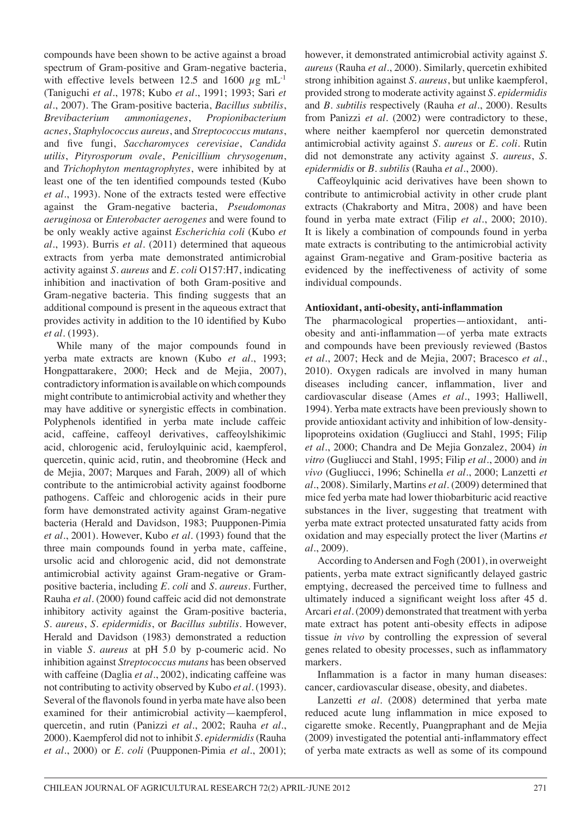compounds have been shown to be active against a broad spectrum of Gram-positive and Gram-negative bacteria, with effective levels between 12.5 and 1600  $\mu$ g mL<sup>-1</sup> (Taniguchi *et al.*, 1978; Kubo *et al.*, 1991; 1993; Sari *et al.*, 2007). The Gram-positive bacteria, *Bacillus subtilis*, *Brevibacterium ammoniagenes*, *Propionibacterium acnes*, *Staphylococcus aureus*, and *Streptococcus mutans*, and five fungi, *Saccharomyces cerevisiae*, *Candida utilis*, *Pityrosporum ovale*, *Penicillium chrysogenum*, and *Trichophyton mentagrophytes*, were inhibited by at least one of the ten identified compounds tested (Kubo *et al.*, 1993). None of the extracts tested were effective against the Gram-negative bacteria, *Pseudomonas aeruginosa* or *Enterobacter aerogenes* and were found to be only weakly active against *Escherichia coli* (Kubo *et al.*, 1993). Burris *et al.* (2011) determined that aqueous extracts from yerba mate demonstrated antimicrobial activity against *S. aureus* and *E. coli* O157:H7, indicating inhibition and inactivation of both Gram-positive and Gram-negative bacteria. This finding suggests that an additional compound is present in the aqueous extract that provides activity in addition to the 10 identified by Kubo *et al.* (1993).

While many of the major compounds found in yerba mate extracts are known (Kubo *et al*., 1993; Hongpattarakere, 2000; Heck and de Mejia, 2007), contradictory information is available on which compounds might contribute to antimicrobial activity and whether they may have additive or synergistic effects in combination. Polyphenols identified in yerba mate include caffeic acid, caffeine, caffeoyl derivatives, caffeoylshikimic acid, chlorogenic acid, feruloylquinic acid, kaempferol, quercetin, quinic acid, rutin, and theobromine (Heck and de Mejia, 2007; Marques and Farah, 2009) all of which contribute to the antimicrobial activity against foodborne pathogens. Caffeic and chlorogenic acids in their pure form have demonstrated activity against Gram-negative bacteria (Herald and Davidson, 1983; Puupponen-Pimia *et al.*, 2001). However, Kubo *et al*. (1993) found that the three main compounds found in yerba mate, caffeine, ursolic acid and chlorogenic acid, did not demonstrate antimicrobial activity against Gram-negative or Grampositive bacteria, including *E. coli* and *S. aureus*. Further, Rauha *et al*. (2000) found caffeic acid did not demonstrate inhibitory activity against the Gram-positive bacteria, *S. aureus*, *S. epidermidis*, or *Bacillus subtilis*. However, Herald and Davidson (1983) demonstrated a reduction in viable *S. aureus* at pH 5.0 by p-coumeric acid. No inhibition against *Streptococcus mutans* has been observed with caffeine (Daglia *et al.*, 2002), indicating caffeine was not contributing to activity observed by Kubo *et al.* (1993). Several of the flavonols found in yerba mate have also been examined for their antimicrobial activity—kaempferol, quercetin, and rutin (Panizzi *et al.*, 2002; Rauha *et al.*, 2000). Kaempferol did not to inhibit *S. epidermidis* (Rauha *et al.*, 2000) or *E. coli* (Puupponen-Pimia *et al.*, 2001);

however, it demonstrated antimicrobial activity against *S. aureus* (Rauha *et al.*, 2000). Similarly, quercetin exhibited strong inhibition against *S. aureus*, but unlike kaempferol, provided strong to moderate activity against *S. epidermidis* and *B. subtilis* respectively (Rauha *et al.*, 2000). Results from Panizzi *et al*. (2002) were contradictory to these, where neither kaempferol nor quercetin demonstrated antimicrobial activity against *S. aureus* or *E. coli*. Rutin did not demonstrate any activity against *S. aureus*, *S. epidermidis* or *B. subtilis* (Rauha *et al.*, 2000).

Caffeoylquinic acid derivatives have been shown to contribute to antimicrobial activity in other crude plant extracts (Chakraborty and Mitra, 2008) and have been found in yerba mate extract (Filip *et al.*, 2000; 2010). It is likely a combination of compounds found in yerba mate extracts is contributing to the antimicrobial activity against Gram-negative and Gram-positive bacteria as evidenced by the ineffectiveness of activity of some individual compounds.

#### **Antioxidant, anti-obesity, anti-inflammation**

The pharmacological properties—antioxidant, antiobesity and anti-inflammation—of yerba mate extracts and compounds have been previously reviewed (Bastos *et al.*, 2007; Heck and de Mejia, 2007; Bracesco *et al.*, 2010). Oxygen radicals are involved in many human diseases including cancer, inflammation, liver and cardiovascular disease (Ames *et al.*, 1993; Halliwell, 1994). Yerba mate extracts have been previously shown to provide antioxidant activity and inhibition of low-densitylipoproteins oxidation (Gugliucci and Stahl, 1995; Filip *et al.*, 2000; Chandra and De Mejia Gonzalez, 2004) *in vitro* (Gugliucci and Stahl, 1995; Filip *et al.*, 2000) and *in vivo* (Gugliucci, 1996; Schinella *et al.*, 2000; Lanzetti *et al.*, 2008). Similarly, Martins *et al*. (2009) determined that mice fed yerba mate had lower thiobarbituric acid reactive substances in the liver, suggesting that treatment with yerba mate extract protected unsaturated fatty acids from oxidation and may especially protect the liver (Martins *et al.*, 2009).

According to Andersen and Fogh (2001), in overweight patients, yerba mate extract significantly delayed gastric emptying, decreased the perceived time to fullness and ultimately induced a significant weight loss after 45 d. Arcari *et al.* (2009) demonstrated that treatment with yerba mate extract has potent anti-obesity effects in adipose tissue *in vivo* by controlling the expression of several genes related to obesity processes, such as inflammatory markers.

Inflammation is a factor in many human diseases: cancer, cardiovascular disease, obesity, and diabetes.

Lanzetti et al. (2008) determined that yerba mate reduced acute lung inflammation in mice exposed to cigarette smoke. Recently, Puangpraphant and de Mejia (2009) investigated the potential anti-inflammatory effect of yerba mate extracts as well as some of its compound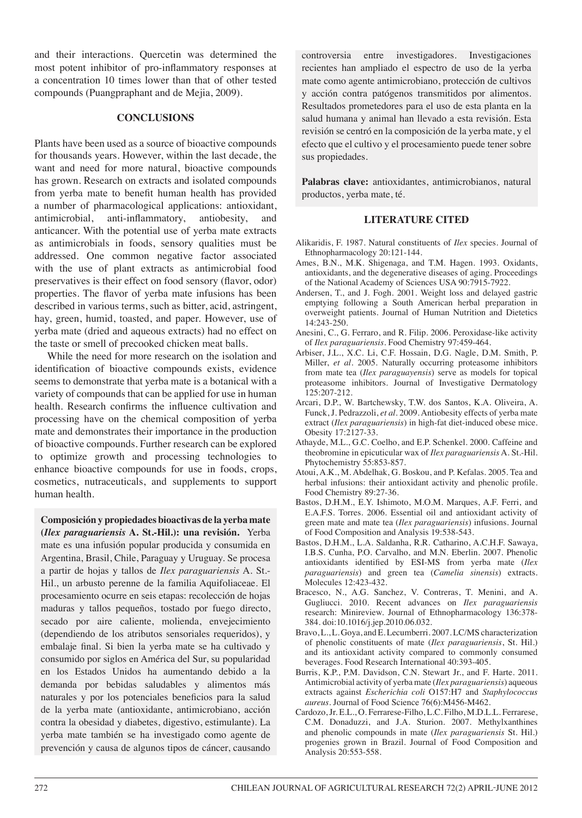and their interactions. Quercetin was determined the most potent inhibitor of pro-inflammatory responses at a concentration 10 times lower than that of other tested compounds (Puangpraphant and de Mejia, 2009).

### **CONCLUSIONS**

Plants have been used as a source of bioactive compounds for thousands years. However, within the last decade, the want and need for more natural, bioactive compounds has grown. Research on extracts and isolated compounds from yerba mate to benefit human health has provided a number of pharmacological applications: antioxidant, antimicrobial, anti-inflammatory, antiobesity, and anticancer. With the potential use of yerba mate extracts as antimicrobials in foods, sensory qualities must be addressed. One common negative factor associated with the use of plant extracts as antimicrobial food preservatives is their effect on food sensory (flavor, odor) properties. The flavor of yerba mate infusions has been described in various terms, such as bitter, acid, astringent, hay, green, humid, toasted, and paper. However, use of yerba mate (dried and aqueous extracts) had no effect on the taste or smell of precooked chicken meat balls.

While the need for more research on the isolation and identification of bioactive compounds exists, evidence seems to demonstrate that yerba mate is a botanical with a variety of compounds that can be applied for use in human health. Research confirms the influence cultivation and processing have on the chemical composition of yerba mate and demonstrates their importance in the production of bioactive compounds. Further research can be explored to optimize growth and processing technologies to enhance bioactive compounds for use in foods, crops, cosmetics, nutraceuticals, and supplements to support human health.

**Composición y propiedades bioactivas de la yerba mate (***Ilex paraguariensis* **A. St.-Hil.): una revisión.** Yerba mate es una infusión popular producida y consumida en Argentina, Brasil, Chile, Paraguay y Uruguay. Se procesa a partir de hojas y tallos de *Ilex paraguariensis* A. St.- Hil., un arbusto perenne de la familia Aquifoliaceae. El procesamiento ocurre en seis etapas: recolección de hojas maduras y tallos pequeños, tostado por fuego directo, secado por aire caliente, molienda, envejecimiento (dependiendo de los atributos sensoriales requeridos), y embalaje final. Si bien la yerba mate se ha cultivado y consumido por siglos en América del Sur, su popularidad en los Estados Unidos ha aumentando debido a la demanda por bebidas saludables y alimentos más naturales y por los potenciales beneficios para la salud de la yerba mate (antioxidante, antimicrobiano, acción contra la obesidad y diabetes, digestivo, estimulante). La yerba mate también se ha investigado como agente de prevención y causa de algunos tipos de cáncer, causando controversia entre investigadores. Investigaciones recientes han ampliado el espectro de uso de la yerba mate como agente antimicrobiano, protección de cultivos y acción contra patógenos transmitidos por alimentos. Resultados prometedores para el uso de esta planta en la salud humana y animal han llevado a esta revisión. Esta revisión se centró en la composición de la yerba mate, y el efecto que el cultivo y el procesamiento puede tener sobre sus propiedades.

**Palabras clave:** antioxidantes, antimicrobianos, natural productos, yerba mate, té.

#### **LITERATURE CITED**

- Alikaridis, F. 1987. Natural constituents of *Ilex* species. Journal of Ethnopharmacology 20:121-144.
- Ames, B.N., M.K. Shigenaga, and T.M. Hagen. 1993. Oxidants, antioxidants, and the degenerative diseases of aging. Proceedings of the National Academy of Sciences USA 90:7915-7922.
- Andersen, T., and J. Fogh. 2001. Weight loss and delayed gastric emptying following a South American herbal preparation in overweight patients. Journal of Human Nutrition and Dietetics 14:243-250.
- Anesini, C., G. Ferraro, and R. Filip. 2006. Peroxidase-like activity of *Ilex paraguariensis*. Food Chemistry 97:459-464.
- Arbiser, J.L., X.C. Li, C.F. Hossain, D.G. Nagle, D.M. Smith, P. Miller, *et al*. 2005. Naturally occurring proteasome inhibitors from mate tea (*Ilex paraguayensis*) serve as models for topical proteasome inhibitors. Journal of Investigative Dermatology  $125:207 - 212$ .
- Arcari, D.P., W. Bartchewsky, T.W. dos Santos, K.A. Oliveira, A. Funck, J. Pedrazzoli, *et al*. 2009. Antiobesity effects of yerba mate extract (*Ilex paraguariensis*) in high-fat diet-induced obese mice. Obesity 17:2127-33.
- Athayde, M.L., G.C. Coelho, and E.P. Schenkel. 2000. Caffeine and theobromine in epicuticular wax of *Ilex paraguariensis* A. St.-Hil. Phytochemistry 55:853-857.
- Atoui, A.K., M. Abdelhak, G. Boskou, and P. Kefalas. 2005. Tea and herbal infusions: their antioxidant activity and phenolic profile. Food Chemistry 89:27-36.
- Bastos, D.H.M., E.Y. Ishimoto, M.O.M. Marques, A.F. Ferri, and E.A.F.S. Torres. 2006. Essential oil and antioxidant activity of green mate and mate tea (*Ilex paraguariensis*) infusions. Journal of Food Composition and Analysis 19:538-543.
- Bastos, D.H.M., L.A. Saldanha, R.R. Catharino, A.C.H.F. Sawaya, I.B.S. Cunha, P.O. Carvalho, and M.N. Eberlin. 2007. Phenolic antioxidants identified by ESI-MS from yerba mate (*Ilex paraguariensis*) and green tea (*Camelia sinensis*) extracts. Molecules 12:423-432.
- Bracesco, N., A.G. Sanchez, V. Contreras, T. Menini, and A. Gugliucci. 2010. Recent advances on *Ilex paraguariensis*  research: Minireview. Journal of Ethnopharmacology 136:378- 384. doi:10.1016/j.jep.2010.06.032.
- Bravo, L., L. Goya, and E. Lecumberri. 2007. LC/MS characterization of phenolic constituents of mate (*Ilex paraguariensis*, St. Hil.) and its antioxidant activity compared to commonly consumed beverages. Food Research International 40:393-405.
- Burris, K.P., P.M. Davidson, C.N. Stewart Jr., and F. Harte. 2011. Antimicrobial activity of yerba mate (*Ilex paraguariensis*) aqueous extracts against *Escherichia coli* O157:H7 and *Staphylococcus aureus*. Journal of Food Science 76(6):M456-M462.
- Cardozo, Jr. E.L., O. Ferrarese-Filho, L.C. Filho, M.D.L.L. Ferrarese, C.M. Donaduzzi, and J.A. Sturion. 2007. Methylxanthines and phenolic compounds in mate (*Ilex paraguariensis* St. Hil.) progenies grown in Brazil. Journal of Food Composition and Analysis 20:553-558.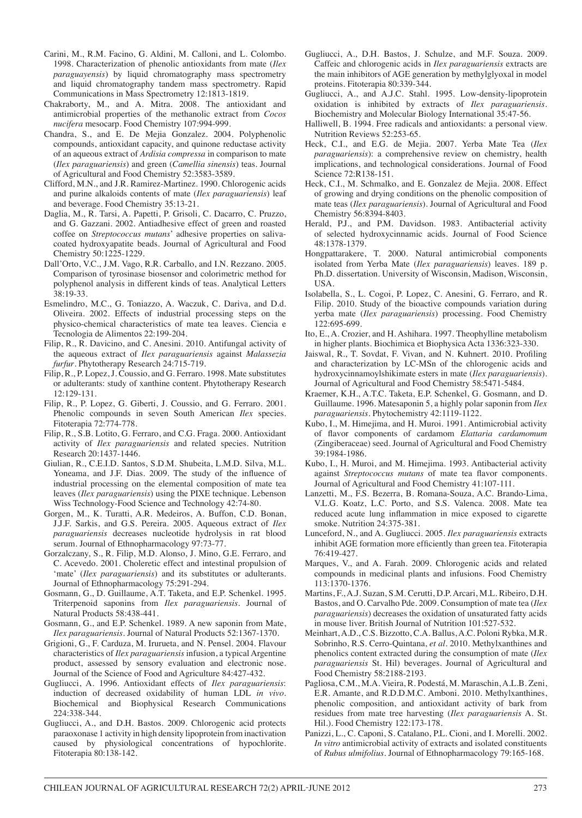- Carini, M., R.M. Facino, G. Aldini, M. Calloni, and L. Colombo. 1998. Characterization of phenolic antioxidants from mate (*Ilex paraguayensis*) by liquid chromatography mass spectrometry and liquid chromatography tandem mass spectrometry. Rapid Communications in Mass Spectrometry 12:1813-1819.
- Chakraborty, M., and A. Mitra. 2008. The antioxidant and antimicrobial properties of the methanolic extract from *Cocos nucifera* mesocarp*.* Food Chemistry 107:994-999.
- Chandra, S., and E. De Mejia Gonzalez. 2004. Polyphenolic compounds, antioxidant capacity, and quinone reductase activity of an aqueous extract of *Ardisia compressa* in comparison to mate (*Ilex paraguariensis*) and green (*Camellia sinensis*) teas. Journal of Agricultural and Food Chemistry 52:3583-3589.
- Clifford, M.N., and J.R. Ramirez-Martinez. 1990. Chlorogenic acids and purine alkaloids contents of mate (*Ilex paraguariensis*) leaf and beverage. Food Chemistry 35:13-21.
- Daglia, M., R. Tarsi, A. Papetti, P. Grisoli, C. Dacarro, C. Pruzzo, and G. Gazzani. 2002. Antiadhesive effect of green and roasted coffee on *Streptococcus mutans*' adhesive properties on salivacoated hydroxyapatite beads. Journal of Agricultural and Food Chemistry 50:1225-1229.
- Dall'Orto, V.C., J.M. Vago, R.R. Carballo, and I.N. Rezzano. 2005. Comparison of tyrosinase biosensor and colorimetric method for polyphenol analysis in different kinds of teas. Analytical Letters 38:19-33.
- Esmelindro, M.C., G. Toniazzo, A. Waczuk, C. Dariva, and D.d. Oliveira. 2002. Effects of industrial processing steps on the physico-chemical characteristics of mate tea leaves. Ciencia e Tecnologia de Alimentos 22:199-204.
- Filip, R., R. Davicino, and C. Anesini. 2010. Antifungal activity of the aqueous extract of *Ilex paraguariensis* against *Malassezia furfur*. Phytotherapy Research 24:715-719.
- Filip, R., P. Lopez, J. Coussio, and G. Ferraro. 1998. Mate substitutes or adulterants: study of xanthine content. Phytotherapy Research 12:129-131.
- Filip, R., P. Lopez, G. Giberti, J. Coussio, and G. Ferraro. 2001. Phenolic compounds in seven South American *Ilex* species. Fitoterapia 72:774-778.
- Filip, R., S.B. Lotito, G. Ferraro, and C.G. Fraga. 2000. Antioxidant activity of *Ilex paraguariensis* and related species. Nutrition Research 20:1437-1446.
- Giulian, R., C.E.I.D. Santos, S.D.M. Shubeita, L.M.D. Silva, M.L. Yoneama, and J.F. Dias. 2009. The study of the influence of industrial processing on the elemental composition of mate tea leaves (*Ilex paraguariensis*) using the PIXE technique. Lebenson Wiss Technology-Food Science and Technology 42:74-80.
- Gorgen, M., K. Turatti, A.R. Medeiros, A. Buffon, C.D. Bonan, J.J.F. Sarkis, and G.S. Pereira. 2005. Aqueous extract of *Ilex paraguariensis* decreases nucleotide hydrolysis in rat blood serum. Journal of Ethnopharmacology 97:73-77.
- Gorzalczany, S., R. Filip, M.D. Alonso, J. Mino, G.E. Ferraro, and C. Acevedo. 2001. Choleretic effect and intestinal propulsion of 'mate' (*Ilex paraguariensis*) and its substitutes or adulterants. Journal of Ethnopharmacology 75:291-294.
- Gosmann, G., D. Guillaume, A.T. Taketa, and E.P. Schenkel. 1995. Triterpenoid saponins from *Ilex paraguariensis*. Journal of Natural Products 58:438-441.
- Gosmann, G., and E.P. Schenkel. 1989. A new saponin from Mate, *Ilex paraguariensis*. Journal of Natural Products 52:1367-1370.
- Grigioni, G., F. Carduza, M. Irurueta, and N. Pensel. 2004. Flavour characteristics of *Ilex paraguariensis* infusion, a typical Argentine product, assessed by sensory evaluation and electronic nose. Journal of the Science of Food and Agriculture 84:427-432.
- Gugliucci, A. 1996. Antioxidant effects of *Ilex paraguariensis*: induction of decreased oxidability of human LDL *in vivo*. Biochemical and Biophysical Research Communications 224:338-344.
- Gugliucci, A., and D.H. Bastos. 2009. Chlorogenic acid protects paraoxonase 1 activity in high density lipoprotein from inactivation caused by physiological concentrations of hypochlorite. Fitoterapia 80:138-142.
- Gugliucci, A., D.H. Bastos, J. Schulze, and M.F. Souza. 2009. Caffeic and chlorogenic acids in *Ilex paraguariensis* extracts are the main inhibitors of AGE generation by methylglyoxal in model proteins. Fitoterapia 80:339-344.
- Gugliucci, A., and A.J.C. Stahl. 1995. Low-density-lipoprotein oxidation is inhibited by extracts of *Ilex paraguariensis*. Biochemistry and Molecular Biology International 35:47-56.
- Halliwell, B. 1994. Free radicals and antioxidants: a personal view. Nutrition Reviews 52:253-65.
- Heck, C.I., and E.G. de Mejia. 2007. Yerba Mate Tea (*Ilex paraguariensis*): a comprehensive review on chemistry, health implications, and technological considerations. Journal of Food Science 72:R138-151.
- Heck, C.I., M. Schmalko, and E. Gonzalez de Mejia. 2008. Effect of growing and drying conditions on the phenolic composition of mate teas (*Ilex paraguariensis*). Journal of Agricultural and Food Chemistry 56:8394-8403.
- Herald, P.J., and P.M. Davidson. 1983. Antibacterial activity of selected hydroxycinnamic acids. Journal of Food Science 48:1378-1379.
- Hongpattarakere, T. 2000. Natural antimicrobial components isolated from Yerba Mate (*Ilex paraguariensis*) leaves. 189 p. Ph.D. dissertation. University of Wisconsin, Madison, Wisconsin, USA.
- Isolabella, S., L. Cogoi, P. Lopez, C. Anesini, G. Ferraro, and R. Filip. 2010. Study of the bioactive compounds variation during yerba mate (*Ilex paraguariensis*) processing. Food Chemistry 122:695-699.
- Ito, E., A. Crozier, and H. Ashihara. 1997. Theophylline metabolism in higher plants. Biochimica et Biophysica Acta 1336:323-330.
- Jaiswal, R., T. Sovdat, F. Vivan, and N. Kuhnert. 2010. Profiling and characterization by LC-MSn of the chlorogenic acids and hydroxycinnamoylshikimate esters in mate (*Ilex paraguariensis*). Journal of Agricultural and Food Chemistry 58:5471-5484.
- Kraemer, K.H., A.T.C. Taketa, E.P. Schenkel, G. Gosmann, and D. Guillaume. 1996. Matesaponin 5, a highly polar saponin from *Ilex paraguariensis*. Phytochemistry 42:1119-1122.
- Kubo, I., M. Himejima, and H. Muroi. 1991. Antimicrobial activity of flavor components of cardamom *Elattaria cardamomum* (Zingiberaceae) seed. Journal of Agricultural and Food Chemistry 39:1984-1986.
- Kubo, I., H. Muroi, and M. Himejima. 1993. Antibacterial activity against *Streptococcus mutans* of mate tea flavor components. Journal of Agricultural and Food Chemistry 41:107-111.
- Lanzetti, M., F.S. Bezerra, B. Romana-Souza, A.C. Brando-Lima, V.L.G. Koatz, L.C. Porto, and S.S. Valenca. 2008. Mate tea reduced acute lung inflammation in mice exposed to cigarette smoke. Nutrition 24:375-381.
- Lunceford, N., and A. Gugliucci. 2005. *Ilex paraguariensis* extracts inhibit AGE formation more efficiently than green tea. Fitoterapia 76:419-427.
- Marques, V., and A. Farah. 2009. Chlorogenic acids and related compounds in medicinal plants and infusions. Food Chemistry 113:1370-1376.
- Martins, F., A.J. Suzan, S.M. Cerutti, D.P. Arcari, M.L. Ribeiro, D.H. Bastos, and O. Carvalho Pde. 2009. Consumption of mate tea (*Ilex paraguariensis*) decreases the oxidation of unsaturated fatty acids in mouse liver. British Journal of Nutrition 101:527-532.
- Meinhart, A.D., C.S. Bizzotto, C.A. Ballus, A.C. Poloni Rybka, M.R. Sobrinho, R.S. Cerro-Quintana, *et al*. 2010. Methylxanthines and phenolics content extracted during the consumption of mate (*Ilex paraguariensis* St. Hil) beverages. Journal of Agricultural and Food Chemistry 58:2188-2193.
- Pagliosa, C.M., M.A. Vieira, R. Podestá, M. Maraschin, A.L.B. Zeni, E.R. Amante, and R.D.D.M.C. Amboni. 2010. Methylxanthines, phenolic composition, and antioxidant activity of bark from residues from mate tree harvesting (*Ilex paraguariensis* A. St. Hil.). Food Chemistry 122:173-178.
- Panizzi, L., C. Caponi, S. Catalano, P.L. Cioni, and I. Morelli. 2002. *In vitro* antimicrobial activity of extracts and isolated constituents of *Rubus ulmifolius*. Journal of Ethnopharmacology 79:165-168.